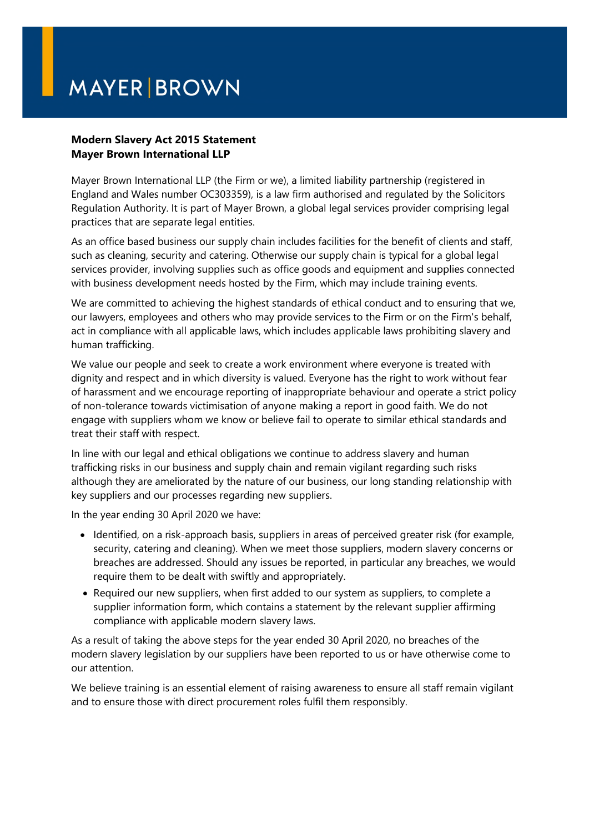## **MAYER BROWN**

## **Modern Slavery Act 2015 Statement Mayer Brown International LLP**

Mayer Brown International LLP (the Firm or we), a limited liability partnership (registered in England and Wales number OC303359), is a law firm authorised and regulated by the Solicitors Regulation Authority. It is part of Mayer Brown, a global legal services provider comprising legal practices that are separate legal entities.

As an office based business our supply chain includes facilities for the benefit of clients and staff, such as cleaning, security and catering. Otherwise our supply chain is typical for a global legal services provider, involving supplies such as office goods and equipment and supplies connected with business development needs hosted by the Firm, which may include training events.

We are committed to achieving the highest standards of ethical conduct and to ensuring that we, our lawyers, employees and others who may provide services to the Firm or on the Firm's behalf, act in compliance with all applicable laws, which includes applicable laws prohibiting slavery and human trafficking.

We value our people and seek to create a work environment where everyone is treated with dignity and respect and in which diversity is valued. Everyone has the right to work without fear of harassment and we encourage reporting of inappropriate behaviour and operate a strict policy of non-tolerance towards victimisation of anyone making a report in good faith. We do not engage with suppliers whom we know or believe fail to operate to similar ethical standards and treat their staff with respect.

In line with our legal and ethical obligations we continue to address slavery and human trafficking risks in our business and supply chain and remain vigilant regarding such risks although they are ameliorated by the nature of our business, our long standing relationship with key suppliers and our processes regarding new suppliers.

In the year ending 30 April 2020 we have:

- Identified, on a risk-approach basis, suppliers in areas of perceived greater risk (for example, security, catering and cleaning). When we meet those suppliers, modern slavery concerns or breaches are addressed. Should any issues be reported, in particular any breaches, we would require them to be dealt with swiftly and appropriately.
- Required our new suppliers, when first added to our system as suppliers, to complete a supplier information form, which contains a statement by the relevant supplier affirming compliance with applicable modern slavery laws.

As a result of taking the above steps for the year ended 30 April 2020, no breaches of the modern slavery legislation by our suppliers have been reported to us or have otherwise come to our attention.

We believe training is an essential element of raising awareness to ensure all staff remain vigilant and to ensure those with direct procurement roles fulfil them responsibly.